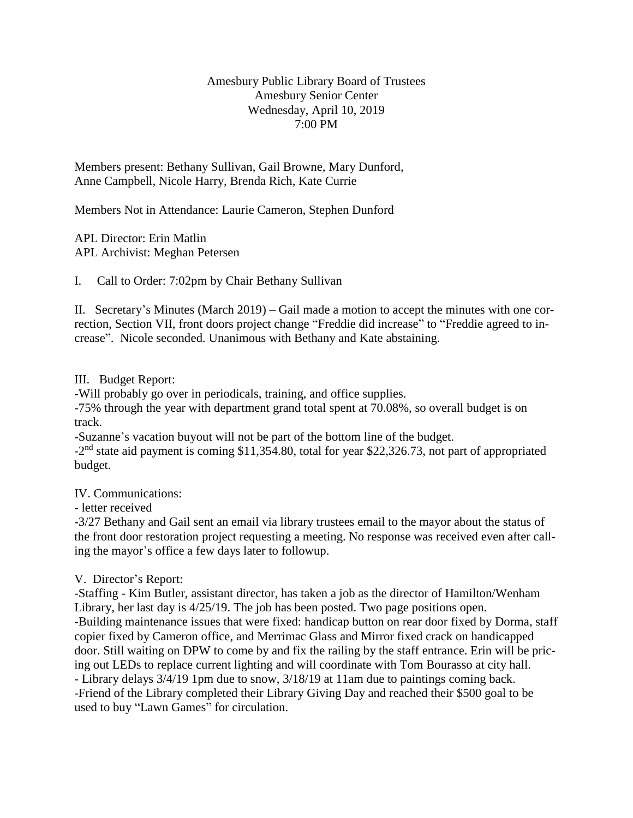### Amesbury Public Library Board of Trustees Amesbury Senior Center Wednesday, April 10, 2019 7:00 PM

Members present: Bethany Sullivan, Gail Browne, Mary Dunford, Anne Campbell, Nicole Harry, Brenda Rich, Kate Currie

Members Not in Attendance: Laurie Cameron, Stephen Dunford

APL Director: Erin Matlin APL Archivist: Meghan Petersen

I. Call to Order: 7:02pm by Chair Bethany Sullivan

II. Secretary's Minutes (March 2019) – Gail made a motion to accept the minutes with one correction, Section VII, front doors project change "Freddie did increase" to "Freddie agreed to increase". Nicole seconded. Unanimous with Bethany and Kate abstaining.

# III. Budget Report:

-Will probably go over in periodicals, training, and office supplies.

-75% through the year with department grand total spent at 70.08%, so overall budget is on track.

-Suzanne's vacation buyout will not be part of the bottom line of the budget.

-2<sup>nd</sup> state aid payment is coming \$11,354.80, total for year \$22,326.73, not part of appropriated budget.

# IV. Communications:

- letter received

-3/27 Bethany and Gail sent an email via library trustees email to the mayor about the status of the front door restoration project requesting a meeting. No response was received even after calling the mayor's office a few days later to followup.

# V. Director's Report:

-Staffing - Kim Butler, assistant director, has taken a job as the director of Hamilton/Wenham Library, her last day is 4/25/19. The job has been posted. Two page positions open. -Building maintenance issues that were fixed: handicap button on rear door fixed by Dorma, staff copier fixed by Cameron office, and Merrimac Glass and Mirror fixed crack on handicapped door. Still waiting on DPW to come by and fix the railing by the staff entrance. Erin will be pricing out LEDs to replace current lighting and will coordinate with Tom Bourasso at city hall. - Library delays 3/4/19 1pm due to snow, 3/18/19 at 11am due to paintings coming back. -Friend of the Library completed their Library Giving Day and reached their \$500 goal to be used to buy "Lawn Games" for circulation.